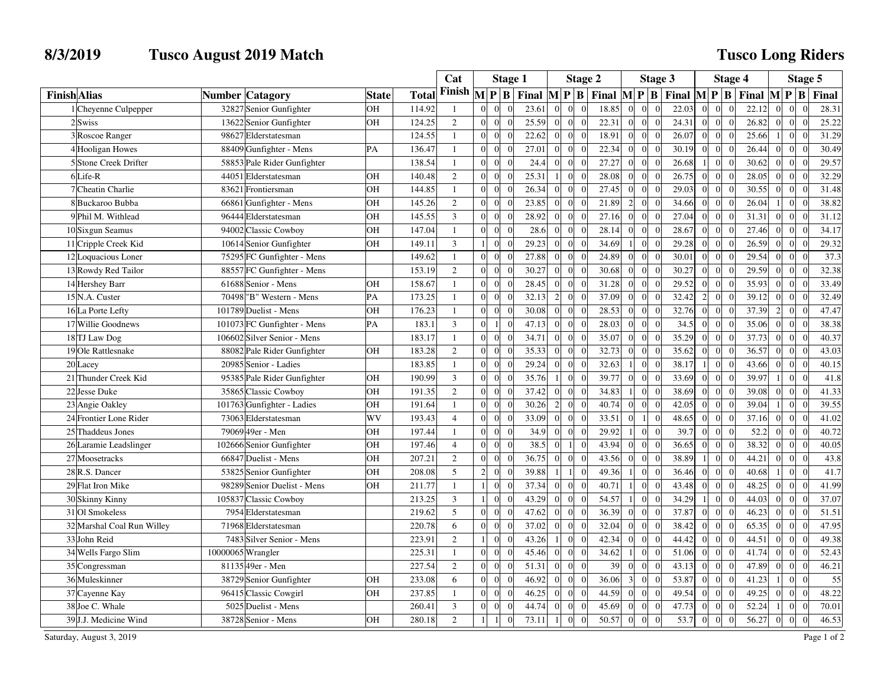## **8/3/2019 Tusco August 2019 Match**

## **Tusco Long Riders**

|                     |                            |                                |              |        | Cat            |                                                | <b>Stage 1</b> |                  |                      | <b>Stage 2</b>                           |                |                                  | <b>Stage 3</b>                           |                | Stage 4                          |                                          |                | Stage 5                           |       |
|---------------------|----------------------------|--------------------------------|--------------|--------|----------------|------------------------------------------------|----------------|------------------|----------------------|------------------------------------------|----------------|----------------------------------|------------------------------------------|----------------|----------------------------------|------------------------------------------|----------------|-----------------------------------|-------|
| <b>Finish Alias</b> |                            | <b>Number Catagory</b>         | <b>State</b> | Total  | Finish         | $\mathbf{M}$<br>P B                            | Final          | $M$ $P$          | $\mathbf{B}$         | Final $\mathbf{M} \mathbf{P} \mathbf{B}$ |                |                                  | Final $\mathbf{M} \mathbf{P} \mathbf{B}$ |                |                                  | Final $\mathbf{M} \mathbf{P} \mathbf{B}$ |                |                                   | Final |
|                     | Chevenne Culpepper         | 32827 Senior Gunfighter        | OН           | 114.92 | $\mathbf{1}$   | $\Omega$<br>$\Omega$                           | 23.61          | $\Omega$         |                      | 18.85                                    | $\overline{0}$ | $\Omega$                         | 22.03<br>$\Omega$                        |                | $\Omega$                         | 22.12                                    |                | $\Omega$                          | 28.31 |
|                     | 2Swiss                     | 13622 Senior Gunfighter        | OН           | 124.25 | 2              | $\Omega$<br>$\Omega$<br>$\Omega$               | 25.59          | $\Omega$         | $\Omega$<br>$\Omega$ | 22.31                                    | $\overline{0}$ | $\Omega$<br>$\theta$             | 24.31                                    | $\Omega$       | $\Omega$<br>$\Omega$             | 26.82                                    | $\Omega$       | $\Omega$<br>$\Omega$              | 25.22 |
|                     | 3 Roscoe Ranger            | 98627 Elderstatesman           |              | 124.55 | $\mathbf{1}$   | $\overline{0}$<br>$\boldsymbol{0}$             | 22.62          | $\boldsymbol{0}$ |                      | 18.91                                    | $\mathbf{0}$   | $\overline{0}$<br>$\overline{0}$ | 26.07                                    | $\overline{0}$ | $\mathbf{0}$<br>$\Omega$         | 25.66                                    |                | $\overline{0}$<br>$\sqrt{ }$      | 31.29 |
|                     | 4 Hooligan Howes           | 88409 Gunfighter - Mens        | PA           | 136.47 | $\mathbf{1}$   | $\theta$<br>$\Omega$<br>$\Omega$               | 27.01          | $\theta$         | $\Omega$             | 22.34                                    | $\mathbf{0}$   | $\overline{0}$<br>$\overline{0}$ | 30.19                                    | $\Omega$       | $\overline{0}$<br>$\Omega$       | 26.44                                    | $\Omega$       | $\overline{0}$<br>$\sqrt{ }$      | 30.49 |
|                     | 5 Stone Creek Drifter      | 58853 Pale Rider Gunfighter    |              | 138.54 | $\mathbf{1}$   | $\Omega$<br>$\Omega$<br>$\Omega$               | 24.4           | $\overline{0}$   | $\Omega$<br>$\Omega$ | 27.27                                    | $\overline{0}$ | $\overline{0}$<br>$\Omega$       | 26.68                                    |                | $\overline{0}$<br>$\Omega$       | 30.62                                    | $\Omega$       | $\overline{0}$<br>$\Omega$        | 29.57 |
|                     | $6$ Life-R                 | 44051<br>Elderstatesman        | OН           | 140.48 | 2              | $\Omega$<br>$\Omega$<br>$\Omega$               | 25.31          | $\overline{1}$   | $\Omega$             | 28.08                                    | $\overline{0}$ | $\Omega$<br>$\theta$             | 26.75                                    | $\Omega$       | $\overline{0}$<br>$\Omega$       | 28.05                                    | $\Omega$       | $\vert$ 0                         | 32.29 |
|                     | 7 Cheatin Charlie          | 83621 Frontiersman             | OН           | 144.85 | $\mathbf{1}$   | $\overline{0}$<br>$\Omega$<br>$\Omega$         | 26.34          | $\overline{0}$   | $\Omega$<br>$\Omega$ | 27.45                                    | $\overline{0}$ | $\overline{0}$<br>$\overline{0}$ | 29.03                                    | $\overline{0}$ | $\overline{0}$<br>$\Omega$       | 30.55                                    | $\Omega$       | $\overline{0}$<br>$\Omega$        | 31.48 |
|                     | 8Buckaroo Bubba            | Gunfighter - Mens<br>66861     | OН           | 145.26 | $\overline{2}$ | $\Omega$<br>$\overline{0}$                     | 23.85          | $\boldsymbol{0}$ | $\Omega$             | 21.89                                    | $\overline{2}$ | $\overline{0}$<br>$\overline{0}$ | 34.66                                    | $\Omega$       | $\boldsymbol{0}$<br>$\Omega$     | 26.04                                    |                | $\overline{0}$                    | 38.82 |
|                     | 9 Phil M. Withlead         | 96444<br>Elderstatesman        | OН           | 145.55 | $\overline{3}$ | $\Omega$<br>$\Omega$<br>$\Omega$               | 28.92          | $\theta$         | $\Omega$<br>$\Omega$ | 27.16                                    | $\overline{0}$ | $\overline{0}$<br>$\theta$       | 27.04                                    | $\Omega$       | $\mathbf{0}$<br>$\theta$         | 31.31                                    | $\Omega$       | $\overline{0}$<br>$\sqrt{ }$      | 31.12 |
|                     | 10 Sixgun Seamus           | 94002 Classic Cowboy           | OН           | 147.04 | $\overline{1}$ | $\Omega$<br>$\Omega$<br>$\Omega$               | 28.6           | $\Omega$         | $\Omega$             | 28.14                                    | $\overline{0}$ | $\bf{0}$<br>$\Omega$             | 28.67                                    | $\Omega$       | $\mathbf{0}$<br>$\Omega$         | 27.46                                    | $\Omega$       | $\vert 0 \vert$<br>$\sqrt{ }$     | 34.17 |
|                     | 11 Cripple Creek Kid       | 10614 Senior Gunfighter        | OН           | 149.11 | 3              | $\overline{0}$<br>$\Omega$                     | 29.23          | $\overline{0}$   | $\Omega$             | 34.69                                    | 1 <sup>1</sup> | $\overline{0}$<br>$\overline{0}$ | 29.28                                    | $\overline{0}$ | $\vert$ 0<br>$\Omega$            | 26.59                                    | $\Omega$       | $\vert 0 \vert$<br>$\sqrt{ }$     | 29.32 |
|                     | 12 Loquacious Loner        | 75295 FC Gunfighter - Mens     |              | 149.62 | $\mathbf{1}$   | $\Omega$<br>$\Omega$<br>$\Omega$               | 27.88          | $\overline{0}$   | $\Omega$<br>- 0      | 24.89                                    | $\overline{0}$ | $\overline{0}$<br>$\theta$       | 30.01                                    | $\Omega$       | $\overline{0}$<br>$\Omega$       | 29.54                                    | $\Omega$       | $\overline{0}$<br>$\theta$        | 37.3  |
|                     | 13 Rowdy Red Tailor        | 88557 FC Gunfighter - Mens     |              | 153.19 | $\overline{2}$ | $\Omega$<br>$\overline{0}$                     | 30.27          | $\overline{0}$   | $\Omega$             | 30.68                                    | $\overline{0}$ | $\Omega$<br>$\overline{0}$       | 30.27                                    | $\Omega$       | $\overline{0}$<br>$\Omega$       | 29.59                                    | $\Omega$       | $\overline{0}$<br>$\sqrt{ }$      | 32.38 |
|                     | 14 Hershey Barr            | 61688 Senior - Mens            | OН           | 158.67 | $\mathbf{1}$   | $\Omega$<br>$\Omega$<br>$\Omega$               | 28.45          | $\Omega$         | $\Omega$<br>$\Omega$ | 31.28                                    | $\mathbf{0}$   | $\theta$<br>$\Omega$             | 29.52                                    | $\Omega$       | $\Omega$<br>$\Omega$             | 35.93                                    | $\Omega$       | $\overline{0}$<br>$\sqrt{ }$      | 33.49 |
|                     | 15 N.A. Custer             | 70498<br>'B" Western - Mens    | PA           | 173.25 | $\overline{1}$ | $\theta$<br>$\theta$                           | 32.13          | $\overline{2}$   | $\Omega$             | 37.09                                    | $\overline{0}$ | $\overline{0}$<br>$\overline{0}$ | 32.42                                    | $\overline{2}$ | $\overline{0}$<br>$\Omega$       | 39.12                                    | $\Omega$       | $\vert 0 \vert$<br>$\sqrt{ }$     | 32.49 |
|                     | 16 La Porte Lefty          | Duelist - Mens<br>101789       | OН           | 176.23 | $\overline{1}$ | $\Omega$<br>$\Omega$<br>$\Omega$               | 30.08          | $\Omega$         | $\Omega$             | 28.53                                    | $\overline{0}$ | $\overline{0}$<br>$\Omega$       | 32.76                                    | $\Omega$       | $\overline{0}$<br>$\Omega$       | 37.39                                    | $\overline{2}$ | $\overline{0}$<br>$\sqrt{ }$      | 47.47 |
|                     | 17 Willie Goodnews         | 101073 FC Gunfighter - Mens    | PA           | 183.1  | 3              | $\Omega$<br>$\Omega$                           | 47.13          | $\theta$         | $\Omega$<br>$\Omega$ | 28.03                                    | $\overline{0}$ | $\Omega$<br>$\Omega$             | 34.5                                     | $\Omega$       | $\overline{0}$<br>$\Omega$       | 35.06                                    | $\Omega$       | $\overline{0}$<br>$\sqrt{ }$      | 38.38 |
|                     | 18 TJ Law Dog              | 106602 Silver Senior - Mens    |              | 183.17 | $\mathbf{1}$   | $\Omega$<br>$\Omega$                           | 34.71          | $\boldsymbol{0}$ | $\Omega$             | 35.07                                    | $\overline{0}$ | $\Omega$<br>$\Omega$             | 35.29                                    | $\Omega$       | $\boldsymbol{0}$<br>$\Omega$     | 37.73                                    | $\Omega$       | $\vert 0 \vert$                   | 40.37 |
|                     | 19 Ole Rattlesnake         | 88082<br>Pale Rider Gunfighter | OН           | 183.28 | $\overline{2}$ | $\Omega$<br>$\Omega$<br>$\Omega$               | 35.33          | $\theta$         | $\Omega$<br>$\Omega$ | 32.73                                    | $\overline{0}$ | $\overline{0}$<br>$\overline{0}$ | 35.62                                    | $\Omega$       | $\overline{0}$<br>$\theta$       | 36.57                                    | $\Omega$       | $\overline{0}$<br>$\Omega$        | 43.03 |
|                     | 20 Lacey                   | 20985 Senior - Ladies          |              | 183.85 | $\mathbf{1}$   | $\Omega$<br>$\overline{0}$                     | 29.24          | $\overline{0}$   | $\Omega$             | 32.63                                    | 1 <sup>1</sup> | $\overline{0}$<br>$\overline{0}$ | 38.17                                    |                | $\overline{0}$<br>$\Omega$       | 43.66                                    | $\Omega$       | $\overline{0}$<br>$\overline{0}$  | 40.15 |
|                     | 21 Thunder Creek Kid       | Pale Rider Gunfighter<br>95385 | OН           | 190.99 | 3              | $\Omega$<br>$\Omega$<br>$\Omega$               | 35.76          |                  | $\Omega$             | 39.77                                    | $\overline{0}$ | $\Omega$<br>$\theta$             | 33.69                                    | $\Omega$       | $\overline{0}$<br>$\Omega$       | 39.97                                    |                | $\overline{0}$<br>$\Omega$        | 41.8  |
|                     | 22 Jesse Duke              | 35865 Classic Cowboy           | OН           | 191.35 | $\overline{2}$ | $\Omega$<br>$\Omega$<br>$\Omega$               | 37.42          | $\mathbf{0}$     | $\Omega$<br>- 0      | 34.83                                    | 1 <sup>1</sup> | $\theta$<br>$\Omega$             | 38.69                                    | $\Omega$       | $\overline{0}$<br>$\Omega$       | 39.08                                    | $\Omega$       | $\vert 0 \vert$<br>$\Omega$       | 41.33 |
|                     | 23 Angie Oakley            | 101763 Gunfighter - Ladies     | OН           | 191.64 | $\mathbf{1}$   | $\Omega$<br>$\overline{0}$                     | 30.26          | $\overline{2}$   | $\Omega$             | 40.74                                    | $\mathbf{0}$   | $\overline{0}$<br>$\overline{0}$ | 42.05                                    | $\Omega$       | $\overline{0}$<br>$\Omega$       | 39.04                                    |                | $\overline{0}$                    | 39.55 |
|                     | 24 Frontier Lone Rider     | 73063 Elderstatesman           | WV           | 193.43 | $\overline{4}$ | $\Omega$<br>$\Omega$<br>$\Omega$               | 33.09          | $\Omega$         | $\Omega$<br>$\Omega$ | 33.51                                    | $\overline{0}$ | $\theta$<br>$\vert$ 1            | 48.65                                    | $\Omega$       | $\overline{0}$<br>$\theta$       | 37.16                                    | $\Omega$       | $\overline{0}$<br>$\Omega$        | 41.02 |
|                     | 25 Thaddeus Jones          | 79069 49er - Men               | OН           | 197.44 | $\overline{1}$ | $\Omega$<br>$\Omega$<br>$\Omega$               | 34.9           | $\Omega$         | $\Omega$             | 29.92                                    | 1 <sup>1</sup> | $\Omega$<br>$\overline{0}$       | 39.7                                     | $\Omega$       | $\overline{0}$<br>$\Omega$       | 52.2                                     | $\Omega$       | $\vert$ 0                         | 40.72 |
|                     | 26 Laramie Leadslinger     | 102666 Senior Gunfighter       | OН           | 197.46 | $\overline{4}$ | $\Omega$<br>$\Omega$<br>$\Omega$               | 38.5           | $\Omega$         | $\sqrt{ }$           | 43.94                                    | $\overline{0}$ | $\overline{0}$<br>$\overline{0}$ | 36.65                                    | $\overline{0}$ | $\boldsymbol{0}$<br>$\Omega$     | 38.32                                    | $\Omega$       | $\boldsymbol{0}$<br>$\sqrt{ }$    | 40.05 |
|                     | 27 Moosetracks             | 66847 Duelist - Mens           | OН           | 207.21 | 2              | $\overline{0}$<br>$\overline{0}$<br>$\Omega$   | 36.75          | $\overline{0}$   | $\overline{0}$       | 43.56                                    | $\overline{0}$ | $\overline{0}$<br>$\overline{0}$ | 38.89                                    | -1             | $\overline{0}$<br>$\overline{0}$ | 44.21                                    | $\Omega$       | $\vert 0 \vert$<br>$\overline{0}$ | 43.8  |
|                     | 28 R.S. Dancer             | 53825 Senior Gunfighter        | OН           | 208.08 | 5              | $\overline{2}$<br>$\overline{0}$<br>$\sqrt{ }$ | 39.88          | $\mathbf{1}$     | $\theta$             | 49.36                                    | 1 <sup>1</sup> | $\Omega$<br>$\overline{0}$       | 36.46                                    | $\Omega$       | $\overline{0}$<br>$\Omega$       | 40.68                                    |                | $\overline{0}$<br>$\sqrt{ }$      | 41.7  |
|                     | 29 Flat Iron Mike          | 98289 Senior Duelist - Mens    | OН           | 211.77 | $\mathbf{1}$   | $\Omega$<br>$\mathbf{1}$<br>$\Omega$           | 37.34          | $\Omega$         | $\Omega$<br>$\Omega$ | 40.71                                    | 1 <sup>1</sup> | $\theta$<br>$\Omega$             | 43.48                                    | $\Omega$       | $\overline{0}$<br>$\Omega$       | 48.25                                    | $\Omega$       | $\vert$ 0<br>$\Omega$             | 41.99 |
|                     | 30 Skinny Kinny            | 105837 Classic Cowboy          |              | 213.25 | $\mathfrak{Z}$ | $\mathbf{1}$<br>$\overline{0}$                 | 43.29          | $\overline{0}$   | $\Omega$             | 54.57                                    | 1 <sup>1</sup> | $\overline{0}$<br>$\overline{0}$ | 34.29                                    |                | $\overline{0}$<br>$\Omega$       | 44.03                                    | $\Omega$       | $\overline{0}$                    | 37.07 |
|                     | 31 Ol Smokeless            | 7954<br>Elderstatesman         |              | 219.62 | 5              | $\Omega$<br>$\theta$<br>$\Omega$               | 47.62          | $\overline{0}$   | $\Omega$             | 36.39                                    | $\mathbf{0}$   | $\overline{0}$<br>$\Omega$       | 37.87                                    | $\Omega$       | $\overline{0}$<br>$\Omega$       | 46.23                                    | $\Omega$       | $\overline{0}$<br>$\sqrt{ }$      | 51.51 |
|                     | 32 Marshal Coal Run Willey | 71968 Elderstatesman           |              | 220.78 | 6              | $\Omega$<br>$\Omega$<br>$\Omega$               | 37.02          | $\overline{0}$   | $\Omega$             | 32.04                                    | $\overline{0}$ | $\Omega$<br>$\theta$             | 38.42                                    | $\Omega$       | $\overline{0}$<br>$\Omega$       | 65.35                                    | $\Omega$       | $\overline{0}$<br>$\Omega$        | 47.95 |
|                     | 33 John Reid               | 7483 Silver Senior - Mens      |              | 223.91 | $\overline{2}$ | $\boldsymbol{0}$<br>$\mathbf{1}$<br>$\Omega$   | 43.26          | $\mathbf{1}$     | $\Omega$             | 42.34                                    | $\overline{0}$ | $\Omega$<br>$\theta$             | 44.42                                    | $\Omega$       | $\overline{0}$<br>$\Omega$       | 44.51                                    | $\Omega$       | $\overline{0}$<br>$\sqrt{ }$      | 49.38 |
|                     | 34 Wells Fargo Slim        | 10000065 Wrangler              |              | 225.31 | $\overline{1}$ | $\Omega$<br>$\Omega$<br>$\Omega$               | 45.46          | $\mathbf{0}$     | $\Omega$             | 34.62                                    | $\vert$ 1      | $\overline{0}$<br>$\overline{0}$ | 51.06                                    | $\Omega$       | $\overline{0}$<br>$\Omega$       | 41.74                                    | $\Omega$       | $\overline{0}$<br>$\Omega$        | 52.43 |
|                     | 35 Congressman             | 81135 49er - Men               |              | 227.54 | $\overline{2}$ | $\Omega$<br>$\theta$                           | 51.31          | $\overline{0}$   | $\Omega$             | 39                                       | $\overline{0}$ | $\overline{0}$<br>$\overline{0}$ | 43.13                                    | $\Omega$       | $\overline{0}$<br>$\Omega$       | 47.89                                    | $\Omega$       | $\overline{0}$<br>$\sqrt{ }$      | 46.21 |
|                     | 36 Muleskinner             | 38729 Senior Gunfighter        | OН           | 233.08 | 6              | $\Omega$<br>$\Omega$<br>$\Omega$               | 46.92          | $\Omega$         |                      | 36.06                                    | $\overline{3}$ | $\theta$<br>$\overline{0}$       | 53.87                                    | $\Omega$       | $\overline{0}$<br>$\Omega$       | 41.23                                    |                | $\overline{0}$<br>$\Omega$        | 55    |
|                     | 37 Cayenne Kay             | 96415 Classic Cowgirl          | OН           | 237.85 | $\mathbf{1}$   | $\Omega$<br>$\Omega$<br>$\Omega$               | 46.25          | $\mathbf{0}$     | $\Omega$             | 44.59                                    | $\overline{0}$ | $\Omega$<br>$\theta$             | 49.54                                    | $\Omega$       | $\overline{0}$<br>$\Omega$       | 49.25                                    | $\Omega$       | $\vert 0 \vert$<br>$\Omega$       | 48.22 |
|                     | 38 Joe C. Whale            | Duelist - Mens<br>5025         |              | 260.41 | 3              | $\Omega$<br>$\overline{0}$                     | 44.74          | $\overline{0}$   |                      | 45.69                                    | $\overline{0}$ | $\overline{0}$<br>$\overline{0}$ | 47.73                                    | $\Omega$       | $\overline{0}$<br>$\Omega$       | 52.24                                    |                | $\overline{0}$                    | 70.01 |
|                     | 39 J.J. Medicine Wind      | 38728 Senior - Mens            | OН           | 280.18 | $\overline{2}$ | $\Omega$                                       | 73.11          | $\mathbf{1}$     | $\Omega$<br>$\Omega$ | 50.57                                    | $\overline{0}$ | $\overline{0}$<br>$\theta$       | 53.7                                     | $\overline{0}$ | $\overline{0}$<br>$\Omega$       | 56.27                                    | $\Omega$       | $\overline{0}$<br>$\Omega$        | 46.53 |

Saturday, August 3, 2019